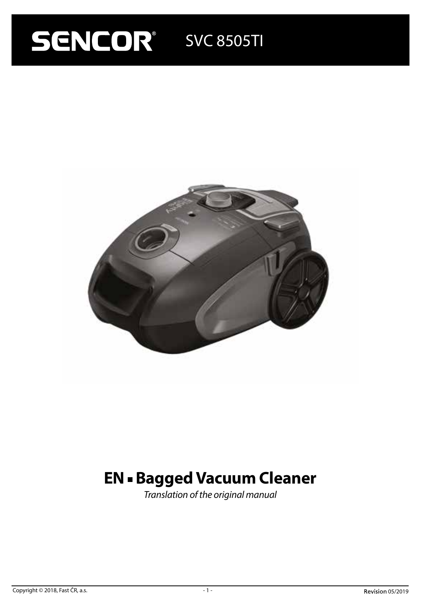# **SENCOR** SVC 8505TI



# **EN - Bagged Vacuum Cleaner**

*Translation of the original manual*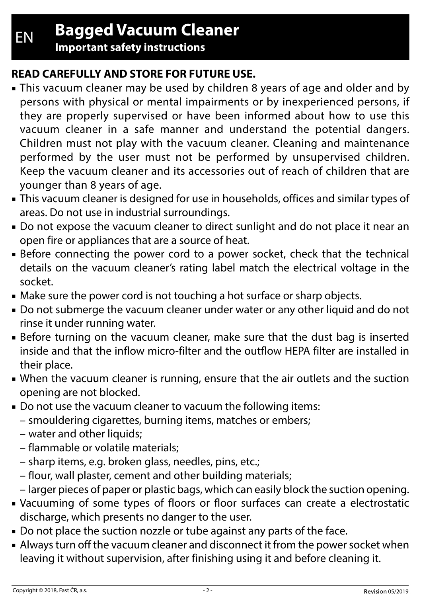**Important safety instructions**

# **READ CAREFULLY AND STORE FOR FUTURE USE.**

- This vacuum cleaner may be used by children 8 years of age and older and by persons with physical or mental impairments or by inexperienced persons, if they are properly supervised or have been informed about how to use this vacuum cleaner in a safe manner and understand the potential dangers. Children must not play with the vacuum cleaner. Cleaning and maintenance performed by the user must not be performed by unsupervised children. Keep the vacuum cleaner and its accessories out of reach of children that are younger than 8 years of age.
- This vacuum cleaner is designed for use in households, offices and similar types of areas. Do not use in industrial surroundings.
- Do not expose the vacuum cleaner to direct sunlight and do not place it near an open fire or appliances that are a source of heat.
- Before connecting the power cord to a power socket, check that the technical details on the vacuum cleaner's rating label match the electrical voltage in the socket.
- Make sure the power cord is not touching a hot surface or sharp objects.
- Do not submerge the vacuum cleaner under water or any other liquid and do not rinse it under running water.
- Before turning on the vacuum cleaner, make sure that the dust bag is inserted inside and that the inflow micro-filter and the outflow HEPA filter are installed in their place.
- When the vacuum cleaner is running, ensure that the air outlets and the suction opening are not blocked.
- Do not use the vacuum cleaner to vacuum the following items:
	- smouldering cigarettes, burning items, matches or embers;
	- water and other liquids;
	- flammable or volatile materials;
	- sharp items, e.g. broken glass, needles, pins, etc.;
	- flour, wall plaster, cement and other building materials;
	- larger pieces of paper or plastic bags, which can easily block the suction opening.
- Vacuuming of some types of floors or floor surfaces can create a electrostatic discharge, which presents no danger to the user.
- Do not place the suction nozzle or tube against any parts of the face.
- Always turn off the vacuum cleaner and disconnect it from the power socket when leaving it without supervision, after finishing using it and before cleaning it.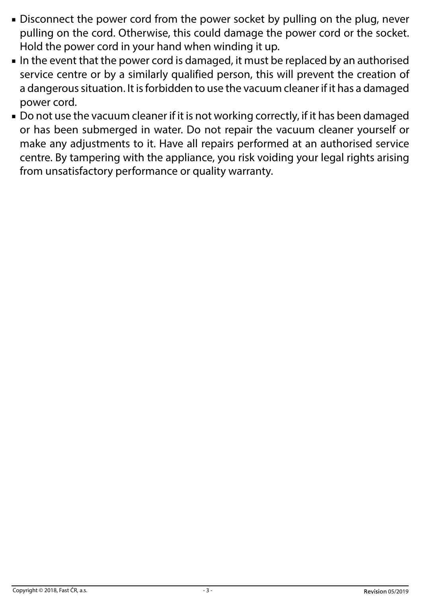- Disconnect the power cord from the power socket by pulling on the plug, never pulling on the cord. Otherwise, this could damage the power cord or the socket. Hold the power cord in your hand when winding it up.
- In the event that the power cord is damaged, it must be replaced by an authorised service centre or by a similarly qualified person, this will prevent the creation of a dangerous situation. It is forbidden to use the vacuum cleaner if it has a damaged power cord.
- Do not use the vacuum cleaner if it is not working correctly, if it has been damaged or has been submerged in water. Do not repair the vacuum cleaner yourself or make any adjustments to it. Have all repairs performed at an authorised service centre. By tampering with the appliance, you risk voiding your legal rights arising from unsatisfactory performance or quality warranty.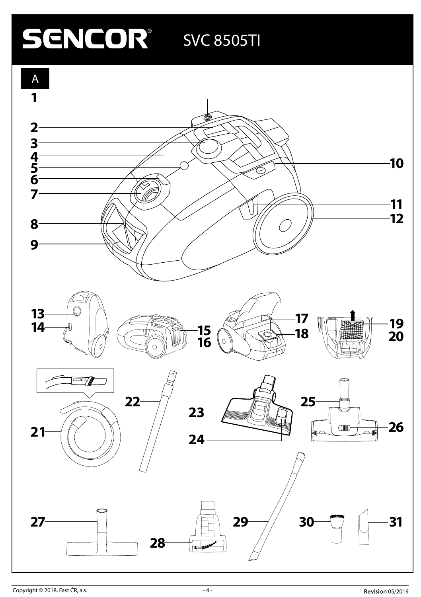# **SENCOR** SVC 8505TI

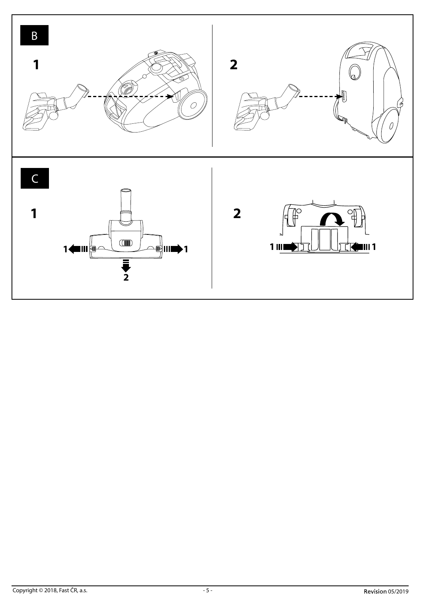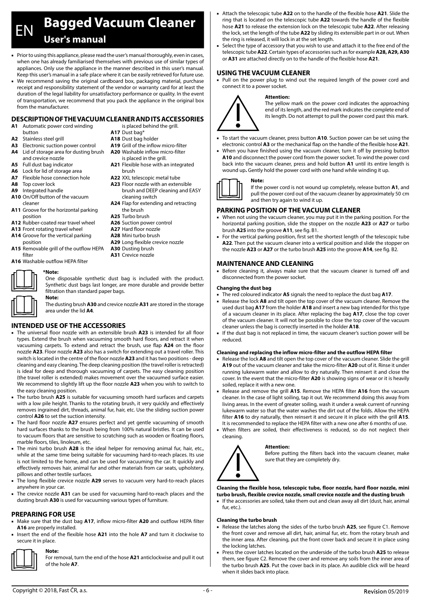# EN **Bagged Vacuum Cleaner User's manual**

- Prior to using this appliance, please read the user's manual thoroughly, even in cases, when one has already familiarised themselves with previous use of similar types of appliances. Only use the appliance in the manner described in this user's manual. Keep this user's manual in a safe place where it can be easily retrieved for future use.
- We recommend saving the original cardboard box, packaging material, purchase receipt and responsibility statement of the vendor or warranty card for at least the duration of the legal liability for unsatisfactory performance or quality. In the event of transportation, we recommend that you pack the appliance in the original box from the manufacturer.

#### **DESCRIPTION OF THE VACUUM CLEANER AND ITS ACCESSORIES** is placed behind the grill.

**A17** Dust bag\* **A18** Dust bag holder **A19** Grill of the inflow micro-filter is placed in the grill. **A21** Flexible hose with an integrated

brush **A22** XXL telescopic metal tube **A23** Floor nozzle with an extensible brush and DEEP cleaning and EASY

cleaning switch **A24** Flap for extending and retracting

- **A1** Automatic power cord winding button
- **A2** Stainless steel grill
- **A3** Electronic suction power control
- **A4** Lid of storage area for dusting brush **A20** Washable inflow micro-filter and crevice nozzle
- **A5** Full dust bag indicator
- **A6** Lock for lid of storage area
- **A7** Flexible hose connection hole
- **A8** Top cover lock
- **A9** Integrated handle
- **A10** On/Off button of the vacuum cleaner
- **A11** Groove for the horizontal parking position
- **A12** Rubber-coated rear travel wheel
- **A13** Front rotating travel wheel
- **A14** Groove for the vertical parking
- position **A15** Removable grill of the outflow HEPA
- filter

### **A16** Washable outflow HEPA filter

# **\*Note:**

One disposable synthetic dust bag is included with the product. Synthetic dust bags last longer, are more durable and provide better filtration than standard paper bags.

**Note:** 

The dusting brush **A30** and crevice nozzle **A31** are stored in the storage area under the lid **A4**.

## **INTENDED USE OF THE ACCESSORIES**

- The universal floor nozzle with an extensible brush **A23** is intended for all floor types. Extend the brush when vacuuming smooth hard floors, and retract it when vacuuming carpets. To extend and retract the brush, use flap **A24** on the floor nozzle **A23**. Floor nozzle **A23** also has a switch for extending out a travel roller. This switch is located in the centre of the floor nozzle **A23** and it has two positions - deep cleaning and easy cleaning. The deep cleaning position (the travel roller is retracted) is ideal for deep and thorough vacuuming of carpets. The easy cleaning position (the travel roller is extended) makes movement over the vacuumed surface easier. We recommend to slightly lift up the floor nozzle **A23** when you wish to switch to the easy cleaning position.
- The turbo brush **A25** is suitable for vacuuming smooth hard surfaces and carpets with a low pile height. Thanks to the rotating brush, it very quickly and effectively removes ingrained dirt, threads, animal fur, hair, etc. Use the sliding suction power control **A26** to set the suction intensity.
- The hard floor nozzle **A27** ensures perfect and yet gentle vacuuming of smooth hard surfaces thanks to the brush being from 100% natural bristles. It can be used to vacuum floors that are sensitive to scratching such as wooden or floating floors, marble floors, tiles, linoleum, etc.
- The mini turbo brush **A28** is the ideal helper for removing animal fur, hair, etc., while at the same time being suitable for vacuuming hard-to-reach places. Its use is not limited to the home, and can be used for vacuuming the car. It quickly and effectively removes hair, animal fur and other materials from car seats, upholstery, pillows and other textile surfaces.
- The long flexible crevice nozzle **A29** serves to vacuum very hard-to-reach places anywhere in your car.
- The crevice nozzle **A31** can be used for vacuuming hard-to-reach places and the dusting brush **A30** is used for vacuuming various types of furniture.

## **PREPARING FOR USE**

- Make sure that the dust bag **A17**, inflow micro-filter **A20** and outflow HEPA filter **A16** are properly installed.
- Insert the end of the flexible hose **A21** into the hole **A7** and turn it clockwise to secure it in place.



**Note:**  For removal, turn the end of the hose **A21** anticlockwise and pull it out of the hole **A7**.

- Attach the telescopic tube A22 on to the handle of the flexible hose A21. Slide the ring that is located on the telescopic tube **A22** towards the handle of the flexible hose **A21** to release the extension lock on the telescopic tube **A22**. After releasing the lock, set the length of the tube **A22** by sliding its extensible part in or out. When the ring is released, it will lock in at the set length.
- Select the type of accessory that you wish to use and attach it to the free end of the telescopic tube **A22**. Certain types of accessories such as for example **A28, A29, A30**  or **A31** are attached directly on to the handle of the flexible hose **A21**.

## **USING THE VACUUM CLEANER**

**Attention:**

■ Pull on the power plug to wind out the required length of the power cord and connect it to a power socket.



The yellow mark on the power cord indicates the approaching end of its length, and the red mark indicates the complete end of its length. Do not attempt to pull the power cord past this mark.

- To start the vacuum cleaner, press button A10. Suction power can be set using the electronic control **A3** or the mechanical flap on the handle of the flexible hose **A21**.
- When you have finished using the vacuum cleaner, turn it off by pressing button **A10** and disconnect the power cord from the power socket. To wind the power cord back into the vacuum cleaner, press and hold button **A1** until its entire length is wound up**.** Gently hold the power cord with one hand while winding it up.



If the power cord is not wound up completely, release button **A1**, and pull the power cord out of the vacuum cleaner by approximately 50 cm and then try again to wind it up.

#### **PARKING POSITION OF THE VACUUM CLEANER**

- When not using the vacuum cleaner, you may put it in the parking position. For the horizontal parking position, slide the stopper on the nozzle **A23** or **A27** or turbo brush **A25** into the groove **A11**, see fig. B1.
- For the vertical parking position, first set the shortest length of the telescopic tube **A22**. Then put the vacuum cleaner into a vertical position and slide the stopper on the nozzle **A23** or **A27** or the turbo brush **A25** into the groove **A14**, see fig. B2.

#### **MAINTENANCE AND CLEANING**

**Note:** 

■ Before cleaning it, always make sure that the vacuum cleaner is turned off and disconnected from the power socket.

#### **Changing the dust bag**

- The red coloured indicator **A5** signals the need to replace the dust bag **A17**.
- Release the lock A8 and tilt open the top cover of the vacuum cleaner. Remove the used dust bag **A17** from the holder **A18** and insert a new bag intended for this type of a vacuum cleaner in its place. After replacing the bag **A17**, close the top cover of the vacuum cleaner. It will not be possible to close the top cover of the vacuum cleaner unless the bag is correctly inserted in the holder **A18**.
- If the dust bag is not replaced in time, the vacuum cleaner's suction power will be reduced.

#### **Cleaning and replacing the inflow micro-filter and the outflow HEPA filter**

- Release the lock **A8** and tilt open the top cover of the vacuum cleaner. Slide the grill **A19** out of the vacuum cleaner and take the micro-filter **A20** out of it. Rinse it under running lukewarm water and allow to dry naturally. Then reinsert it and close the cover. In the event that the micro-filter **A20** is showing signs of wear or it is heavily soiled, replace it with a new one.
- Release and remove the grill A15. Remove the HEPA filter A16 from the vacuum cleaner. In the case of light soiling, tap it out. We recommend doing this away from living areas. In the event of greater soiling, wash it under a weak current of running lukewarm water so that the water washes the dirt out of the folds. Allow the HEPA filter **A16** to dry naturally, then reinsert it and secure it in place with the grill **A15**. It is recommended to replace the HEPA filter with a new one after 6 months of use.
- When filters are soiled, their effectiveness is reduced, so do not neglect their cleaning.



## **Attention:**

Before putting the filters back into the vacuum cleaner, make sure that they are completely dry.

#### **Cleaning the flexible hose, telescopic tube, floor nozzle, hard floor nozzle, mini turbo brush, flexible crevice nozzle, small crevice nozzle and the dusting brush**

■ If the accessories are soiled, take them out and clean away all dirt (dust, hair, animal fur, etc.).

#### **Cleaning the turbo brush**

- Release the latches along the sides of the turbo brush A25, see figure C1. Remove the front cover and remove all dirt, hair, animal fur, etc. from the rotary brush and the inner area. After cleaning, put the front cover back and secure it in place using the locking latches.
- Press the cover latches located on the underside of the turbo brush **A25** to release them, see figure C2. Remove the cover and remove any soils from the inner area of the turbo brush **A25**. Put the cover back in its place. An audible click will be heard when it slides back into place.

#### **A27** Hard floor nozzle **A28** Mini turbo brush **A29** Long flexible crevice nozzle **A30** Dusting brush

the brush **A25** Turbo brush **A26** Suction power control

**A31** Crevice nozzle